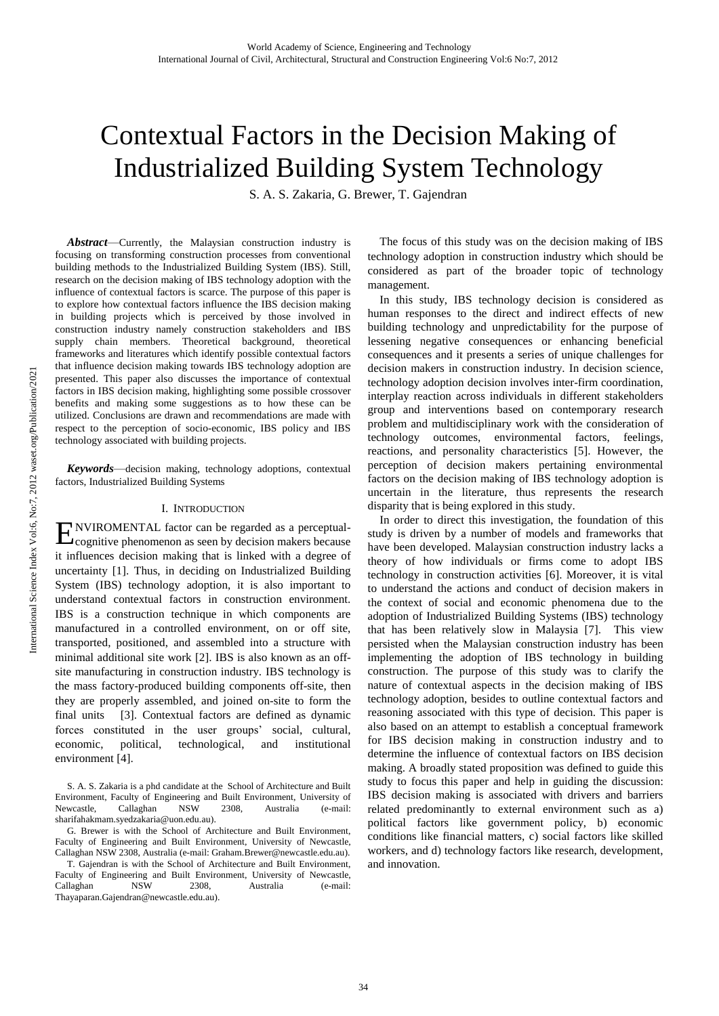# Contextual Factors in the Decision Making of Industrialized Building System Technology

S. A. S. Zakaria, G. Brewer, T. Gajendran

*Abstract*—Currently, the Malaysian construction industry is focusing on transforming construction processes from conventional building methods to the Industrialized Building System (IBS). Still, research on the decision making of IBS technology adoption with the influence of contextual factors is scarce. The purpose of this paper is to explore how contextual factors influence the IBS decision making in building projects which is perceived by those involved in construction industry namely construction stakeholders and IBS supply chain members. Theoretical background, theoretical frameworks and literatures which identify possible contextual factors that influence decision making towards IBS technology adoption are presented. This paper also discusses the importance of contextual factors in IBS decision making, highlighting some possible crossover benefits and making some suggestions as to how these can be utilized. Conclusions are drawn and recommendations are made with respect to the perception of socio-economic, IBS policy and IBS technology associated with building projects.

*Keywords*—decision making, technology adoptions, contextual factors, Industrialized Building Systems

### I. INTRODUCTION

NVIROMENTAL factor can be regarded as a perceptual-ENVIROMENTAL factor can be regarded as a perceptual-<br>Cognitive phenomenon as seen by decision makers because it influences decision making that is linked with a degree of uncertainty [1]. Thus, in deciding on Industrialized Building System (IBS) technology adoption, it is also important to understand contextual factors in construction environment. IBS is a construction technique in which components are manufactured in a controlled environment, on or off site, transported, positioned, and assembled into a structure with minimal additional site work [2]. IBS is also known as an offsite manufacturing in construction industry. IBS technology is the mass factory-produced building components off-site, then they are properly assembled, and joined on-site to form the final units [3]. Contextual factors are defined as dynamic forces constituted in the user groups' social, cultural, economic, political, technological, and institutional environment [4].

The focus of this study was on the decision making of IBS technology adoption in construction industry which should be considered as part of the broader topic of technology management.

In this study, IBS technology decision is considered as human responses to the direct and indirect effects of new building technology and unpredictability for the purpose of lessening negative consequences or enhancing beneficial consequences and it presents a series of unique challenges for decision makers in construction industry. In decision science, technology adoption decision involves inter-firm coordination, interplay reaction across individuals in different stakeholders group and interventions based on contemporary research problem and multidisciplinary work with the consideration of technology outcomes, environmental factors, feelings, reactions, and personality characteristics [5]. However, the perception of decision makers pertaining environmental factors on the decision making of IBS technology adoption is uncertain in the literature, thus represents the research disparity that is being explored in this study.

In order to direct this investigation, the foundation of this study is driven by a number of models and frameworks that have been developed. Malaysian construction industry lacks a theory of how individuals or firms come to adopt IBS technology in construction activities [6]. Moreover, it is vital to understand the actions and conduct of decision makers in the context of social and economic phenomena due to the adoption of Industrialized Building Systems (IBS) technology that has been relatively slow in Malaysia [7]. This view persisted when the Malaysian construction industry has been implementing the adoption of IBS technology in building construction. The purpose of this study was to clarify the nature of contextual aspects in the decision making of IBS technology adoption, besides to outline contextual factors and reasoning associated with this type of decision. This paper is also based on an attempt to establish a conceptual framework for IBS decision making in construction industry and to determine the influence of contextual factors on IBS decision making. A broadly stated proposition was defined to guide this study to focus this paper and help in guiding the discussion: IBS decision making is associated with drivers and barriers related predominantly to external environment such as a) political factors like government policy, b) economic conditions like financial matters, c) social factors like skilled workers, and d) technology factors like research, development, and innovation.

S. A. S. Zakaria is a phd candidate at the School of Architecture and Built Environment, Faculty of Engineering and Built Environment, University of Newcastle, Callaghan NSW 2308, Australia (e-mail: sharifahakmam.syedzakaria@uon.edu.au).

G. Brewer is with the School of Architecture and Built Environment, Faculty of Engineering and Built Environment, University of Newcastle, Callaghan NSW 2308, Australia (e-mail: Graham.Brewer@newcastle.edu.au).

T. Gajendran is with the School of Architecture and Built Environment, Faculty of Engineering and Built Environment, University of Newcastle, Callaghan NSW 2308, Australia (e-mail: Thayaparan.Gajendran@newcastle.edu.au).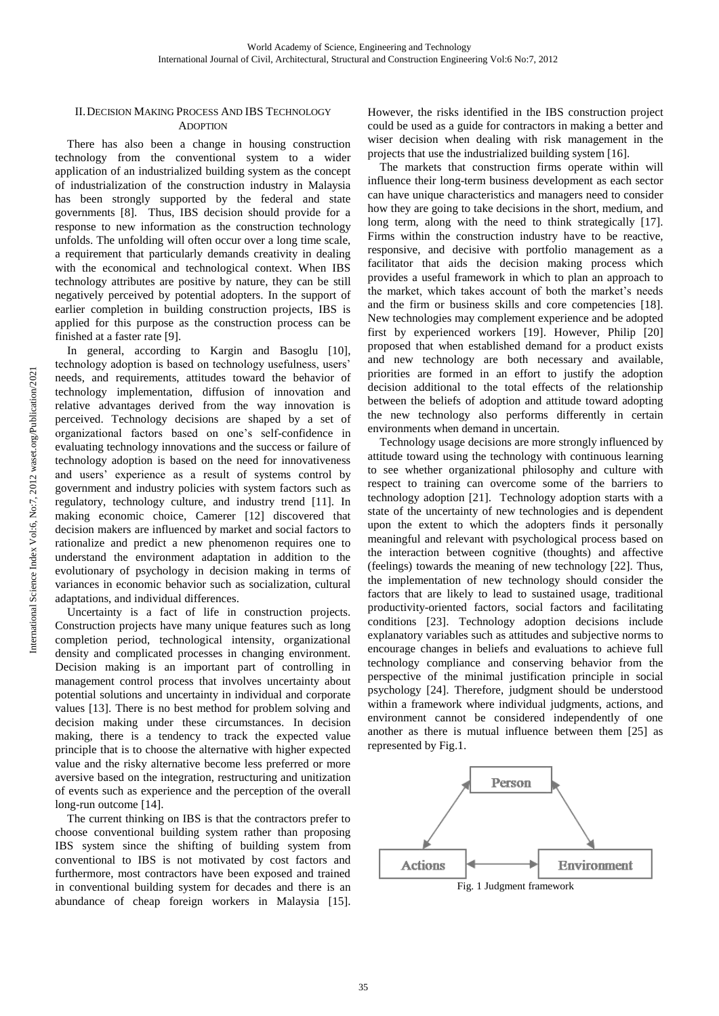## II.DECISION MAKING PROCESS AND IBS TECHNOLOGY **ADOPTION**

There has also been a change in housing construction technology from the conventional system to a wider application of an industrialized building system as the concept of industrialization of the construction industry in Malaysia has been strongly supported by the federal and state governments [8]. Thus, IBS decision should provide for a response to new information as the construction technology unfolds. The unfolding will often occur over a long time scale, a requirement that particularly demands creativity in dealing with the economical and technological context. When IBS technology attributes are positive by nature, they can be still negatively perceived by potential adopters. In the support of earlier completion in building construction projects, IBS is applied for this purpose as the construction process can be finished at a faster rate [9].

In general, according to Kargin and Basoglu [10], technology adoption is based on technology usefulness, users' needs, and requirements, attitudes toward the behavior of technology implementation, diffusion of innovation and relative advantages derived from the way innovation is perceived. Technology decisions are shaped by a set of organizational factors based on one's self-confidence in evaluating technology innovations and the success or failure of technology adoption is based on the need for innovativeness and users' experience as a result of systems control by government and industry policies with system factors such as regulatory, technology culture, and industry trend [11]. In making economic choice, Camerer [12] discovered that decision makers are influenced by market and social factors to rationalize and predict a new phenomenon requires one to understand the environment adaptation in addition to the evolutionary of psychology in decision making in terms of variances in economic behavior such as socialization, cultural adaptations, and individual differences.

Uncertainty is a fact of life in construction projects. Construction projects have many unique features such as long completion period, technological intensity, organizational density and complicated processes in changing environment. Decision making is an important part of controlling in management control process that involves uncertainty about potential solutions and uncertainty in individual and corporate values [13]. There is no best method for problem solving and decision making under these circumstances. In decision making, there is a tendency to track the expected value principle that is to choose the alternative with higher expected value and the risky alternative become less preferred or more aversive based on the integration, restructuring and unitization of events such as experience and the perception of the overall long-run outcome [14].

The current thinking on IBS is that the contractors prefer to choose conventional building system rather than proposing IBS system since the shifting of building system from conventional to IBS is not motivated by cost factors and furthermore, most contractors have been exposed and trained in conventional building system for decades and there is an abundance of cheap foreign workers in Malaysia [15].

However, the risks identified in the IBS construction project could be used as a guide for contractors in making a better and wiser decision when dealing with risk management in the projects that use the industrialized building system [16].

The markets that construction firms operate within will influence their long-term business development as each sector can have unique characteristics and managers need to consider how they are going to take decisions in the short, medium, and long term, along with the need to think strategically [17]. Firms within the construction industry have to be reactive, responsive, and decisive with portfolio management as a facilitator that aids the decision making process which provides a useful framework in which to plan an approach to the market, which takes account of both the market's needs and the firm or business skills and core competencies [18]. New technologies may complement experience and be adopted first by experienced workers [19]. However, Philip [20] proposed that when established demand for a product exists and new technology are both necessary and available, priorities are formed in an effort to justify the adoption decision additional to the total effects of the relationship between the beliefs of adoption and attitude toward adopting the new technology also performs differently in certain environments when demand in uncertain.

Technology usage decisions are more strongly influenced by attitude toward using the technology with continuous learning to see whether organizational philosophy and culture with respect to training can overcome some of the barriers to technology adoption [21]. Technology adoption starts with a state of the uncertainty of new technologies and is dependent upon the extent to which the adopters finds it personally meaningful and relevant with psychological process based on the interaction between cognitive (thoughts) and affective (feelings) towards the meaning of new technology [22]. Thus, the implementation of new technology should consider the factors that are likely to lead to sustained usage, traditional productivity-oriented factors, social factors and facilitating conditions [23]. Technology adoption decisions include explanatory variables such as attitudes and subjective norms to encourage changes in beliefs and evaluations to achieve full technology compliance and conserving behavior from the perspective of the minimal justification principle in social psychology [24]. Therefore, judgment should be understood within a framework where individual judgments, actions, and environment cannot be considered independently of one another as there is mutual influence between them [25] as represented by Fig.1.

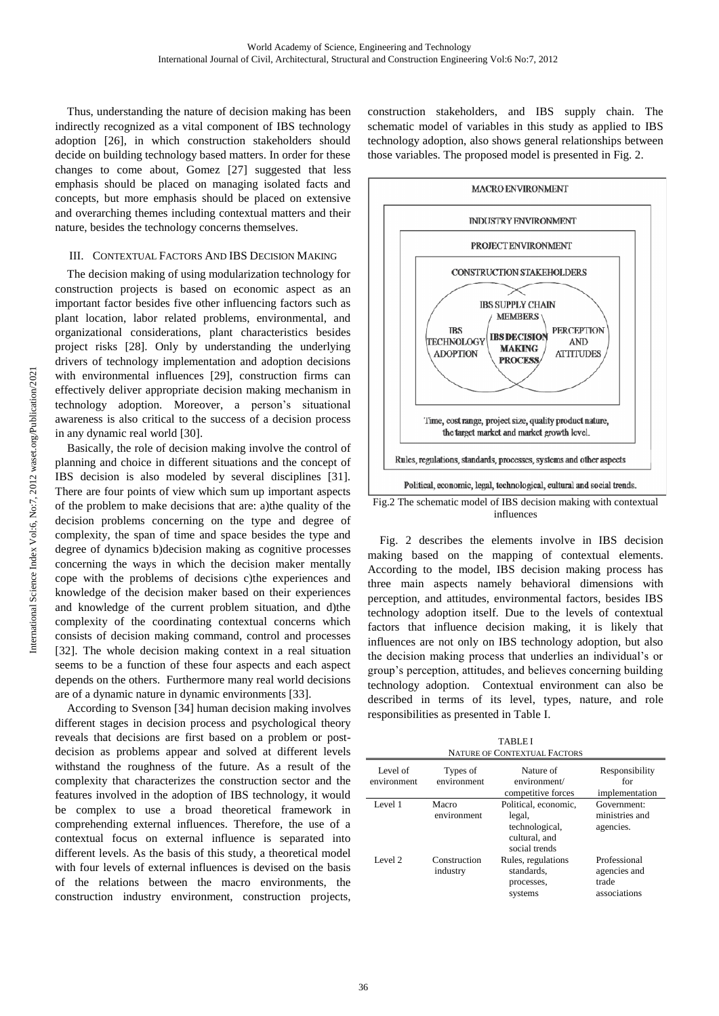Thus, understanding the nature of decision making has been indirectly recognized as a vital component of IBS technology adoption [26], in which construction stakeholders should decide on building technology based matters. In order for these changes to come about, Gomez [27] suggested that less emphasis should be placed on managing isolated facts and concepts, but more emphasis should be placed on extensive and overarching themes including contextual matters and their nature, besides the technology concerns themselves.

## III. CONTEXTUAL FACTORS AND IBS DECISION MAKING

The decision making of using modularization technology for construction projects is based on economic aspect as an important factor besides five other influencing factors such as plant location, labor related problems, environmental, and organizational considerations, plant characteristics besides project risks [28]. Only by understanding the underlying drivers of technology implementation and adoption decisions with environmental influences [29], construction firms can effectively deliver appropriate decision making mechanism in technology adoption. Moreover, a person's situational awareness is also critical to the success of a decision process in any dynamic real world [30].

Basically, the role of decision making involve the control of planning and choice in different situations and the concept of IBS decision is also modeled by several disciplines [31]. There are four points of view which sum up important aspects of the problem to make decisions that are: a)the quality of the decision problems concerning on the type and degree of complexity, the span of time and space besides the type and degree of dynamics b)decision making as cognitive processes concerning the ways in which the decision maker mentally cope with the problems of decisions c)the experiences and knowledge of the decision maker based on their experiences and knowledge of the current problem situation, and d)the complexity of the coordinating contextual concerns which consists of decision making command, control and processes [32]. The whole decision making context in a real situation seems to be a function of these four aspects and each aspect depends on the others. Furthermore many real world decisions are of a dynamic nature in dynamic environments [33].

According to Svenson [34] human decision making involves different stages in decision process and psychological theory reveals that decisions are first based on a problem or postdecision as problems appear and solved at different levels withstand the roughness of the future. As a result of the complexity that characterizes the construction sector and the features involved in the adoption of IBS technology, it would be complex to use a broad theoretical framework in comprehending external influences. Therefore, the use of a contextual focus on external influence is separated into different levels. As the basis of this study, a theoretical model with four levels of external influences is devised on the basis of the relations between the macro environments, the construction industry environment, construction projects, construction stakeholders, and IBS supply chain. The schematic model of variables in this study as applied to IBS technology adoption, also shows general relationships between those variables. The proposed model is presented in Fig. 2.



influences

Fig. 2 describes the elements involve in IBS decision making based on the mapping of contextual elements. According to the model, IBS decision making process has three main aspects namely behavioral dimensions with perception, and attitudes, environmental factors, besides IBS technology adoption itself. Due to the levels of contextual factors that influence decision making, it is likely that influences are not only on IBS technology adoption, but also the decision making process that underlies an individual's or group's perception, attitudes, and believes concerning building technology adoption. Contextual environment can also be described in terms of its level, types, nature, and role responsibilities as presented in Table I.

TABLE I NATURE OF CONTEXTUAL FACTORS

| IMIUNE OI CONTEAIUAE LACIONS                       |                          |                                                            |                                                       |  |  |  |  |  |
|----------------------------------------------------|--------------------------|------------------------------------------------------------|-------------------------------------------------------|--|--|--|--|--|
| Level of<br>Types of<br>environment<br>environment |                          | Nature of<br>environment/<br>competitive forces            | Responsibility<br>for<br>implementation               |  |  |  |  |  |
| Level 1                                            | Macro                    | Political, economic,                                       | Government:                                           |  |  |  |  |  |
|                                                    | environment              | legal,<br>technological,<br>cultural, and<br>social trends | ministries and<br>agencies.                           |  |  |  |  |  |
| Level 2                                            | Construction<br>industry | Rules, regulations<br>standards,<br>processes,<br>systems  | Professional<br>agencies and<br>trade<br>associations |  |  |  |  |  |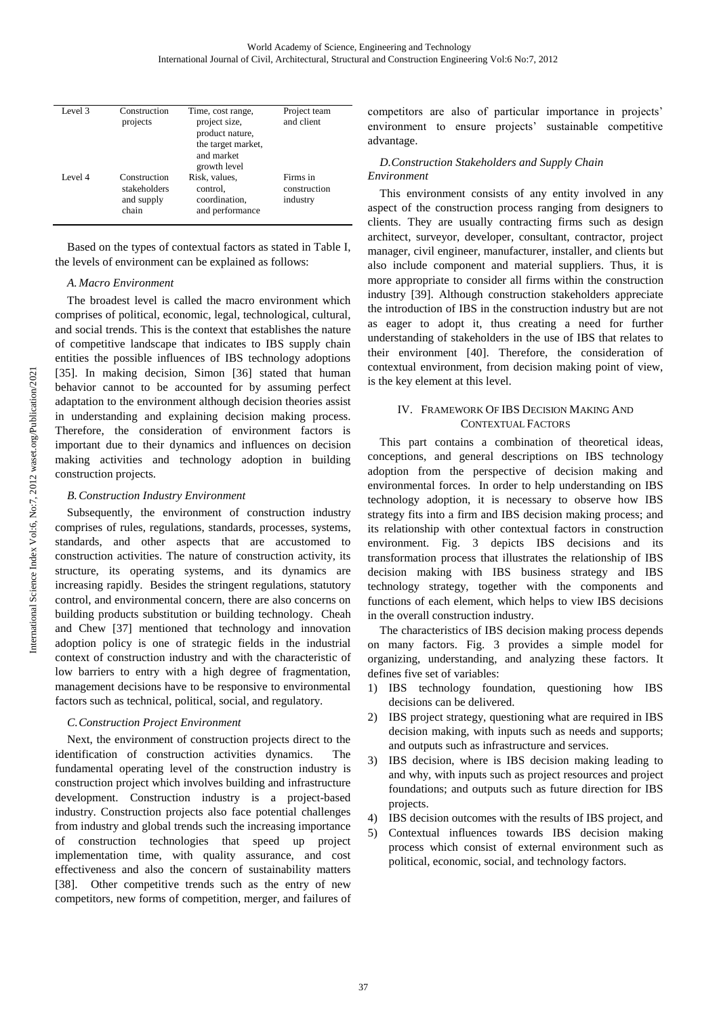| Level 3 | Construction<br>projects                            | Time, cost range,<br>project size,<br>product nature,<br>the target market,<br>and market<br>growth level | Project team<br>and client           |  |  |
|---------|-----------------------------------------------------|-----------------------------------------------------------------------------------------------------------|--------------------------------------|--|--|
| Level 4 | Construction<br>stakeholders<br>and supply<br>chain | Risk, values,<br>control.<br>coordination.<br>and performance                                             | Firms in<br>construction<br>industry |  |  |

Based on the types of contextual factors as stated in Table I, the levels of environment can be explained as follows:

## *A. Macro Environment*

The broadest level is called the macro environment which comprises of political, economic, legal, technological, cultural, and social trends. This is the context that establishes the nature of competitive landscape that indicates to IBS supply chain entities the possible influences of IBS technology adoptions [35]. In making decision, Simon [36] stated that human behavior cannot to be accounted for by assuming perfect adaptation to the environment although decision theories assist in understanding and explaining decision making process. Therefore, the consideration of environment factors is important due to their dynamics and influences on decision making activities and technology adoption in building construction projects.

## *B. Construction Industry Environment*

Subsequently, the environment of construction industry comprises of rules, regulations, standards, processes, systems, standards, and other aspects that are accustomed to construction activities. The nature of construction activity, its structure, its operating systems, and its dynamics are increasing rapidly. Besides the stringent regulations, statutory control, and environmental concern, there are also concerns on building products substitution or building technology. Cheah and Chew [37] mentioned that technology and innovation adoption policy is one of strategic fields in the industrial context of construction industry and with the characteristic of low barriers to entry with a high degree of fragmentation, management decisions have to be responsive to environmental factors such as technical, political, social, and regulatory.

## *C.Construction Project Environment*

Next, the environment of construction projects direct to the identification of construction activities dynamics. The fundamental operating level of the construction industry is construction project which involves building and infrastructure development. Construction industry is a project-based industry. Construction projects also face potential challenges from industry and global trends such the increasing importance of construction technologies that speed up project implementation time, with quality assurance, and cost effectiveness and also the concern of sustainability matters [38]. Other competitive trends such as the entry of new competitors, new forms of competition, merger, and failures of competitors are also of particular importance in projects' environment to ensure projects' sustainable competitive advantage.

## *D.Construction Stakeholders and Supply Chain Environment*

This environment consists of any entity involved in any aspect of the construction process ranging from designers to clients. They are usually contracting firms such as design architect, surveyor, developer, consultant, contractor, project manager, civil engineer, manufacturer, installer, and clients but also include component and material suppliers. Thus, it is more appropriate to consider all firms within the construction industry [39]. Although construction stakeholders appreciate the introduction of IBS in the construction industry but are not as eager to adopt it, thus creating a need for further understanding of stakeholders in the use of IBS that relates to their environment [40]. Therefore, the consideration of contextual environment, from decision making point of view, is the key element at this level.

## IV. FRAMEWORK OF IBS DECISION MAKING AND CONTEXTUAL FACTORS

This part contains a combination of theoretical ideas, conceptions, and general descriptions on IBS technology adoption from the perspective of decision making and environmental forces. In order to help understanding on IBS technology adoption, it is necessary to observe how IBS strategy fits into a firm and IBS decision making process; and its relationship with other contextual factors in construction environment. Fig. 3 depicts IBS decisions and its transformation process that illustrates the relationship of IBS decision making with IBS business strategy and IBS technology strategy, together with the components and functions of each element, which helps to view IBS decisions in the overall construction industry.

The characteristics of IBS decision making process depends on many factors. Fig. 3 provides a simple model for organizing, understanding, and analyzing these factors. It defines five set of variables:

- 1) IBS technology foundation, questioning how IBS decisions can be delivered.
- 2) IBS project strategy, questioning what are required in IBS decision making, with inputs such as needs and supports; and outputs such as infrastructure and services.
- 3) IBS decision, where is IBS decision making leading to and why, with inputs such as project resources and project foundations; and outputs such as future direction for IBS projects.
- 4) IBS decision outcomes with the results of IBS project, and
- 5) Contextual influences towards IBS decision making process which consist of external environment such as political, economic, social, and technology factors.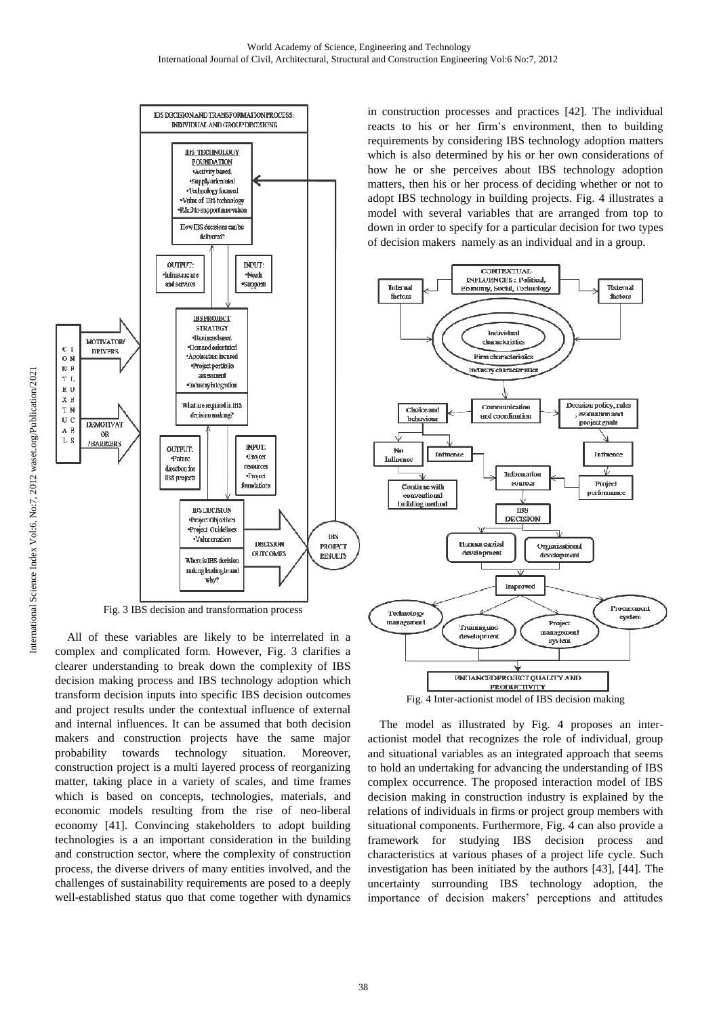

Fig. 3 IBS decision and transformation process

All of these variables are likely to be interrelated in a complex and complicated form. However, Fig. 3 clarifies a clearer understanding to break down the complexity of IBS decision making process and IBS technology adoption which transform decision inputs into specific IBS decision outcomes and project results under the contextual influence of external and internal influences. It can be assumed that both decision makers and construction projects have the same major probability towards technology situation. Moreover, construction project is a multi layered process of reorganizing matter, taking place in a variety of scales, and time frames which is based on concepts, technologies, materials, and economic models resulting from the rise of neo-liberal economy [41]. Convincing stakeholders to adopt building technologies is a an important consideration in the building and construction sector, where the complexity of construction process, the diverse drivers of many entities involved, and the challenges of sustainability requirements are posed to a deeply well-established status quo that come together with dynamics in construction processes and practices [42]. The individual reacts to his or her firm's environment, then to building requirements by considering IBS technology adoption matters which is also determined by his or her own considerations of how he or she perceives about IBS technology adoption matters, then his or her process of deciding whether or not to adopt IBS technology in building projects. Fig. 4 illustrates a model with several variables that are arranged from top to down in order to specify for a particular decision for two types of decision makers namely as an individual and in a group.



Fig. 4 Inter-actionist model of IBS decision making

The model as illustrated by Fig. 4 proposes an interactionist model that recognizes the role of individual, group and situational variables as an integrated approach that seems to hold an undertaking for advancing the understanding of IBS complex occurrence. The proposed interaction model of IBS decision making in construction industry is explained by the relations of individuals in firms or project group members with situational components. Furthermore, Fig. 4 can also provide a framework for studying IBS decision process and characteristics at various phases of a project life cycle. Such investigation has been initiated by the authors [43], [44]. The uncertainty surrounding IBS technology adoption, the importance of decision makers' perceptions and attitudes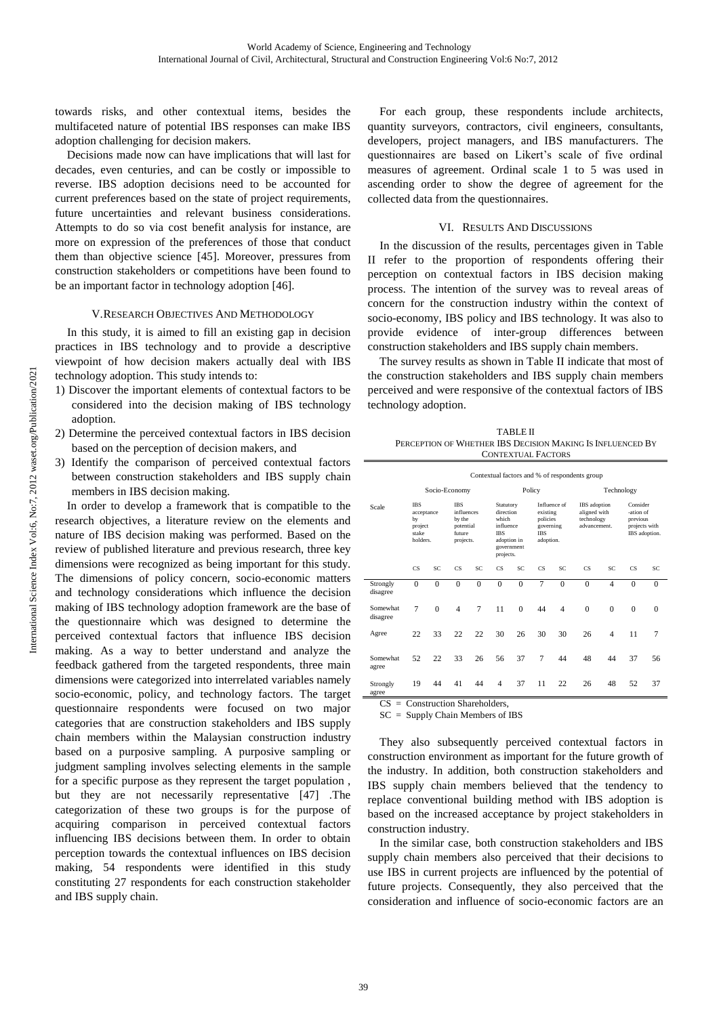towards risks, and other contextual items, besides the multifaceted nature of potential IBS responses can make IBS adoption challenging for decision makers.

Decisions made now can have implications that will last for decades, even centuries, and can be costly or impossible to reverse. IBS adoption decisions need to be accounted for current preferences based on the state of project requirements, future uncertainties and relevant business considerations. Attempts to do so via cost benefit analysis for instance, are more on expression of the preferences of those that conduct them than objective science [45]. Moreover, pressures from construction stakeholders or competitions have been found to be an important factor in technology adoption [46].

### V.RESEARCH OBJECTIVES AND METHODOLOGY

In this study, it is aimed to fill an existing gap in decision practices in IBS technology and to provide a descriptive viewpoint of how decision makers actually deal with IBS technology adoption. This study intends to:

- 1) Discover the important elements of contextual factors to be considered into the decision making of IBS technology adoption.
- 2) Determine the perceived contextual factors in IBS decision based on the perception of decision makers, and
- 3) Identify the comparison of perceived contextual factors between construction stakeholders and IBS supply chain members in IBS decision making.

In order to develop a framework that is compatible to the research objectives, a literature review on the elements and nature of IBS decision making was performed. Based on the review of published literature and previous research, three key dimensions were recognized as being important for this study. The dimensions of policy concern, socio-economic matters and technology considerations which influence the decision making of IBS technology adoption framework are the base of the questionnaire which was designed to determine the perceived contextual factors that influence IBS decision making. As a way to better understand and analyze the feedback gathered from the targeted respondents, three main dimensions were categorized into interrelated variables namely socio-economic, policy, and technology factors. The target questionnaire respondents were focused on two major categories that are construction stakeholders and IBS supply chain members within the Malaysian construction industry based on a purposive sampling. A purposive sampling or judgment sampling involves selecting elements in the sample for a specific purpose as they represent the target population , but they are not necessarily representative [47] .The categorization of these two groups is for the purpose of acquiring comparison in perceived contextual factors influencing IBS decisions between them. In order to obtain perception towards the contextual influences on IBS decision making, 54 respondents were identified in this study constituting 27 respondents for each construction stakeholder and IBS supply chain.

For each group, these respondents include architects, quantity surveyors, contractors, civil engineers, consultants, developers, project managers, and IBS manufacturers. The questionnaires are based on Likert's scale of five ordinal measures of agreement. Ordinal scale 1 to 5 was used in ascending order to show the degree of agreement for the collected data from the questionnaires.

#### VI. RESULTS AND DISCUSSIONS

In the discussion of the results, percentages given in Table II refer to the proportion of respondents offering their perception on contextual factors in IBS decision making process. The intention of the survey was to reveal areas of concern for the construction industry within the context of socio-economy, IBS policy and IBS technology. It was also to provide evidence of inter-group differences between construction stakeholders and IBS supply chain members.

The survey results as shown in Table II indicate that most of the construction stakeholders and IBS supply chain members perceived and were responsive of the contextual factors of IBS technology adoption.

| <b>TABLE II</b>                                            |  |
|------------------------------------------------------------|--|
| PERCEPTION OF WHETHER IBS DECISION MAKING IS INFLUENCED BY |  |
| CONTEXTUAL FACTORS                                         |  |

|                                                                         | Contextual factors and % of respondents group |               |                                                                        |          |                                                                                                      |          |                                                                              |                |                                                            |                |                                                                     |          |
|-------------------------------------------------------------------------|-----------------------------------------------|---------------|------------------------------------------------------------------------|----------|------------------------------------------------------------------------------------------------------|----------|------------------------------------------------------------------------------|----------------|------------------------------------------------------------|----------------|---------------------------------------------------------------------|----------|
|                                                                         |                                               | Socio-Economy |                                                                        |          |                                                                                                      | Policy   |                                                                              |                | Technology                                                 |                |                                                                     |          |
| <b>IBS</b><br>Scale<br>acceptance<br>by<br>project<br>stake<br>holders. |                                               |               | <b>IBS</b><br>influences<br>by the<br>potential<br>future<br>projects. |          | Statutory<br>direction<br>which<br>influence<br><b>TRS</b><br>adoption in<br>government<br>projects. |          | Influence of<br>existing<br>policies<br>governing<br><b>IBS</b><br>adoption. |                | IBS adoption<br>aligned with<br>technology<br>advancement. |                | Consider<br>-ation of<br>previous<br>projects with<br>IBS adoption. |          |
|                                                                         | <b>CS</b>                                     | SC            | $\overline{\text{CS}}$                                                 | SC       | $\overline{\text{CS}}$                                                                               | SC       | <b>CS</b>                                                                    | SC             | <b>CS</b>                                                  | SC             | <b>CS</b>                                                           | SC       |
| Strongly<br>disagree                                                    | $\Omega$                                      | $\Omega$      | $\Omega$                                                               | $\theta$ | $\theta$                                                                                             | $\theta$ | 7                                                                            | $\Omega$       | $\Omega$                                                   | $\overline{4}$ | $\Omega$                                                            | $\Omega$ |
| Somewhat<br>disagree                                                    | 7                                             | $\theta$      | $\overline{4}$                                                         | $\tau$   | 11                                                                                                   | $\Omega$ | 44                                                                           | $\overline{4}$ | $\Omega$                                                   | $\mathbf{0}$   | $\theta$                                                            | $\Omega$ |
| Agree                                                                   | 22                                            | 33            | 22                                                                     | 22       | 30                                                                                                   | 26       | 30                                                                           | 30             | 26                                                         | $\overline{4}$ | 11                                                                  | 7        |
| Somewhat<br>agree                                                       | 52                                            | 22            | 33                                                                     | 26       | 56                                                                                                   | 37       | 7                                                                            | 44             | 48                                                         | 44             | 37                                                                  | 56       |
| Strongly<br>agree                                                       | 19                                            | 44            | 41                                                                     | 44       | $\overline{4}$                                                                                       | 37       | 11                                                                           | 22             | 26                                                         | 48             | 52                                                                  | 37       |

SC = Supply Chain Members of IBS

They also subsequently perceived contextual factors in construction environment as important for the future growth of the industry. In addition, both construction stakeholders and IBS supply chain members believed that the tendency to replace conventional building method with IBS adoption is based on the increased acceptance by project stakeholders in construction industry.

In the similar case, both construction stakeholders and IBS supply chain members also perceived that their decisions to use IBS in current projects are influenced by the potential of future projects. Consequently, they also perceived that the consideration and influence of socio-economic factors are an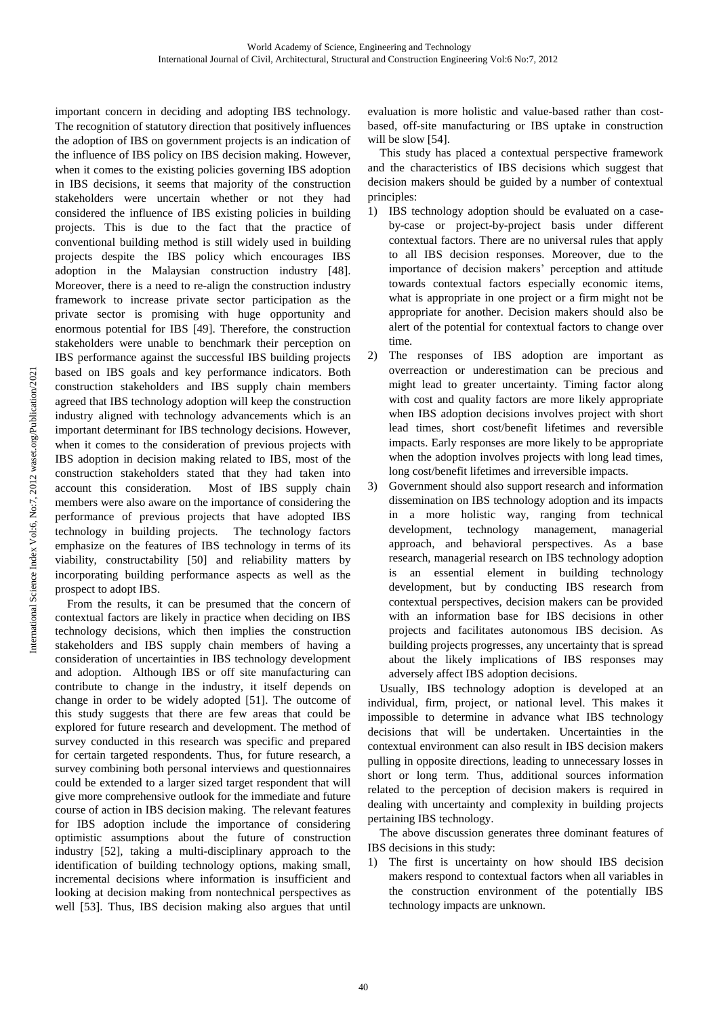important concern in deciding and adopting IBS technology. The recognition of statutory direction that positively influences the adoption of IBS on government projects is an indication of the influence of IBS policy on IBS decision making. However, when it comes to the existing policies governing IBS adoption in IBS decisions, it seems that majority of the construction stakeholders were uncertain whether or not they had considered the influence of IBS existing policies in building projects. This is due to the fact that the practice of conventional building method is still widely used in building projects despite the IBS policy which encourages IBS adoption in the Malaysian construction industry [48]. Moreover, there is a need to re-align the construction industry framework to increase private sector participation as the private sector is promising with huge opportunity and enormous potential for IBS [49]. Therefore, the construction stakeholders were unable to benchmark their perception on IBS performance against the successful IBS building projects based on IBS goals and key performance indicators. Both construction stakeholders and IBS supply chain members agreed that IBS technology adoption will keep the construction industry aligned with technology advancements which is an important determinant for IBS technology decisions. However, when it comes to the consideration of previous projects with IBS adoption in decision making related to IBS, most of the construction stakeholders stated that they had taken into account this consideration. Most of IBS supply chain members were also aware on the importance of considering the performance of previous projects that have adopted IBS technology in building projects. The technology factors emphasize on the features of IBS technology in terms of its viability, constructability [50] and reliability matters by incorporating building performance aspects as well as the prospect to adopt IBS.

From the results, it can be presumed that the concern of contextual factors are likely in practice when deciding on IBS technology decisions, which then implies the construction stakeholders and IBS supply chain members of having a consideration of uncertainties in IBS technology development and adoption. Although IBS or off site manufacturing can contribute to change in the industry, it itself depends on change in order to be widely adopted [51]. The outcome of this study suggests that there are few areas that could be explored for future research and development. The method of survey conducted in this research was specific and prepared for certain targeted respondents. Thus, for future research, a survey combining both personal interviews and questionnaires could be extended to a larger sized target respondent that will give more comprehensive outlook for the immediate and future course of action in IBS decision making. The relevant features for IBS adoption include the importance of considering optimistic assumptions about the future of construction industry [52], taking a multi-disciplinary approach to the identification of building technology options, making small, incremental decisions where information is insufficient and looking at decision making from nontechnical perspectives as well [53]. Thus, IBS decision making also argues that until evaluation is more holistic and value-based rather than costbased, off-site manufacturing or IBS uptake in construction will be slow [54].

This study has placed a contextual perspective framework and the characteristics of IBS decisions which suggest that decision makers should be guided by a number of contextual principles:

- 1) IBS technology adoption should be evaluated on a caseby-case or project-by-project basis under different contextual factors. There are no universal rules that apply to all IBS decision responses. Moreover, due to the importance of decision makers' perception and attitude towards contextual factors especially economic items, what is appropriate in one project or a firm might not be appropriate for another. Decision makers should also be alert of the potential for contextual factors to change over time.
- 2) The responses of IBS adoption are important as overreaction or underestimation can be precious and might lead to greater uncertainty. Timing factor along with cost and quality factors are more likely appropriate when IBS adoption decisions involves project with short lead times, short cost/benefit lifetimes and reversible impacts. Early responses are more likely to be appropriate when the adoption involves projects with long lead times, long cost/benefit lifetimes and irreversible impacts.
- 3) Government should also support research and information dissemination on IBS technology adoption and its impacts in a more holistic way, ranging from technical development, technology management, managerial approach, and behavioral perspectives. As a base research, managerial research on IBS technology adoption is an essential element in building technology development, but by conducting IBS research from contextual perspectives, decision makers can be provided with an information base for IBS decisions in other projects and facilitates autonomous IBS decision. As building projects progresses, any uncertainty that is spread about the likely implications of IBS responses may adversely affect IBS adoption decisions.

Usually, IBS technology adoption is developed at an individual, firm, project, or national level. This makes it impossible to determine in advance what IBS technology decisions that will be undertaken. Uncertainties in the contextual environment can also result in IBS decision makers pulling in opposite directions, leading to unnecessary losses in short or long term. Thus, additional sources information related to the perception of decision makers is required in dealing with uncertainty and complexity in building projects pertaining IBS technology.

The above discussion generates three dominant features of IBS decisions in this study:

1) The first is uncertainty on how should IBS decision makers respond to contextual factors when all variables in the construction environment of the potentially IBS technology impacts are unknown.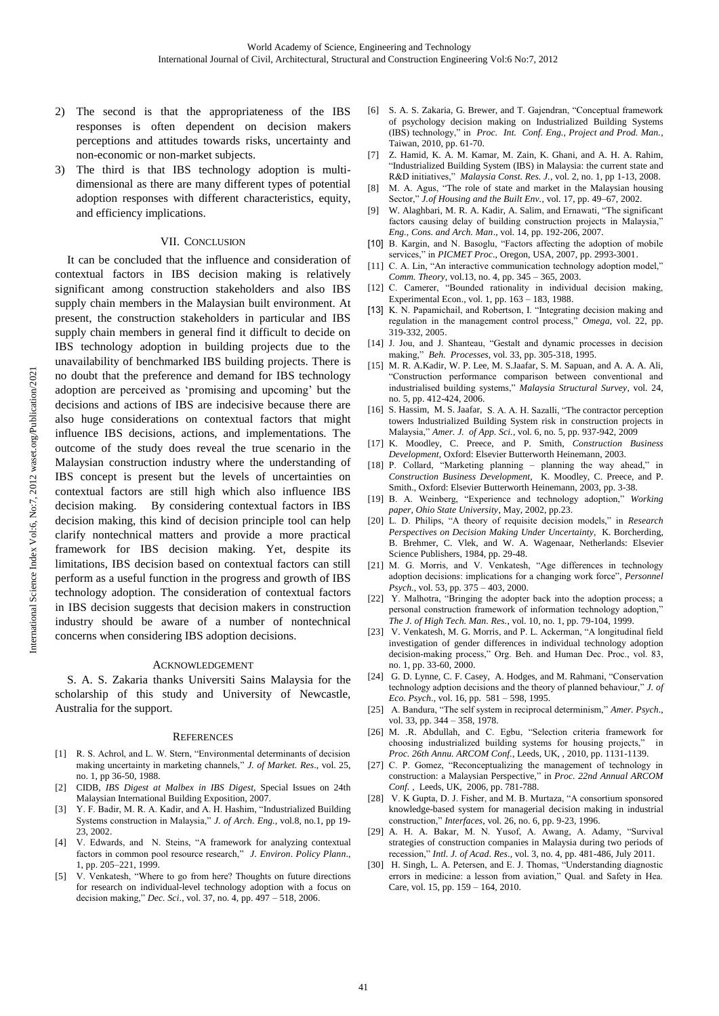- 2) The second is that the appropriateness of the IBS responses is often dependent on decision makers perceptions and attitudes towards risks, uncertainty and non-economic or non-market subjects.
- 3) The third is that IBS technology adoption is multidimensional as there are many different types of potential adoption responses with different characteristics, equity, and efficiency implications.

## VII. CONCLUSION

It can be concluded that the influence and consideration of contextual factors in IBS decision making is relatively significant among construction stakeholders and also IBS supply chain members in the Malaysian built environment. At present, the construction stakeholders in particular and IBS supply chain members in general find it difficult to decide on IBS technology adoption in building projects due to the unavailability of benchmarked IBS building projects. There is no doubt that the preference and demand for IBS technology adoption are perceived as 'promising and upcoming' but the decisions and actions of IBS are indecisive because there are also huge considerations on contextual factors that might influence IBS decisions, actions, and implementations. The outcome of the study does reveal the true scenario in the Malaysian construction industry where the understanding of IBS concept is present but the levels of uncertainties on contextual factors are still high which also influence IBS decision making. By considering contextual factors in IBS decision making, this kind of decision principle tool can help clarify nontechnical matters and provide a more practical framework for IBS decision making. Yet, despite its limitations, IBS decision based on contextual factors can still perform as a useful function in the progress and growth of IBS technology adoption. The consideration of contextual factors in IBS decision suggests that decision makers in construction industry should be aware of a number of nontechnical concerns when considering IBS adoption decisions.

## ACKNOWLEDGEMENT

S. A. S. Zakaria thanks Universiti Sains Malaysia for the scholarship of this study and University of Newcastle, Australia for the support.

#### **REFERENCES**

- [1] R. S. Achrol, and L. W. Stern, "Environmental determinants of decision making uncertainty in marketing channels," *J. of Market. Res*., vol. 25, no. 1, pp 36-50, 1988.
- [2] CIDB, *IBS Digest at Malbex in IBS Digest*, Special Issues on 24th Malaysian International Building Exposition, 2007.
- [3] Y. F. Badir, M. R. A. Kadir, and A. H. Hashim, "Industrialized Building Systems construction in Malaysia," *J. of Arch. Eng.,* vol.8, no.1, pp 19- 23, 2002.
- [4] V. Edwards, and N. Steins, "A framework for analyzing contextual factors in common pool resource research," *J*. *Environ*. *Policy Plann*., 1, pp. 205–221, 1999.
- V. Venkatesh, "Where to go from here? Thoughts on future directions for research on individual-level technology adoption with a focus on decision making," *Dec. Sci*., vol. 37, no. 4, pp. 497 – 518, 2006.
- [6] S. A. S. Zakaria, G. Brewer, and T. Gajendran, "Conceptual framework of psychology decision making on Industrialized Building Systems (IBS) technology," in *Proc. Int. Conf. Eng., Project and Prod. Man.*, Taiwan, 2010, pp. 61-70.
- [7] Z. Hamid, K. A. M. Kamar, M. Zain, K. Ghani, and A. H. A. Rahim, "Industrialized Building System (IBS) in Malaysia: the current state and R&D initiatives," *Malaysia Const. Res. J.*, vol. 2, no. 1, pp 1-13, 2008.
- [8] M. A. Agus, "The role of state and market in the Malaysian housing Sector," *J.of Housing and the Built Env.,* vol. 17, pp. 49–67, 2002.
- [9] W. Alaghbari, M. R. A. Kadir, A. Salim, and Ernawati, "The significant factors causing delay of building construction projects in Malaysia," *Eng., Cons. and Arch. Man*., vol. 14, pp. 192-206, 2007.
- [10] B. Kargin, and N. Basoglu, "Factors affecting the adoption of mobile services," in *PICMET Proc*., Oregon, USA, 2007, pp. 2993-3001.
- [11] C. A. Lin, "An interactive communication technology adoption model," *Comm. Theory*, vol.13, no. 4, pp. 345 – 365, 2003.
- [12] C. Camerer, "Bounded rationality in individual decision making, Experimental Econ., vol. 1, pp. 163 – 183, 1988.
- [13] K. N. Papamichail, and Robertson, I. "Integrating decision making and regulation in the management control process," *Omega*, vol. 22, pp. 319-332, 2005.
- [14] J. Jou, and J. Shanteau, "Gestalt and dynamic processes in decision making," *Beh. Processes*, vol. 33, pp. 305-318, 1995.
- [15] M. R. A.Kadir, W. P. Lee, M. S.Jaafar, S. M. Sapuan, and A. A. A. Ali, "Construction performance comparison between conventional and industrialised building systems," *Malaysia Structural Survey*, vol. 24, no. 5, pp. 412-424, 2006.
- [16] S. Hassim, M. S. Jaafar, S. A. A. H. Sazalli, "The contractor perception towers Industrialized Building System risk in construction projects in Malaysia," *Amer. J. of App. Sci.*, vol. 6, no. 5, pp. 937-942, 2009
- [17] K. Moodley, C. Preece, and P. Smith, *Construction Business Development*, Oxford: Elsevier Butterworth Heinemann, 2003.
- [18] P. Collard, "Marketing planning planning the way ahead," in *Construction Business Development*, K. Moodley, C. Preece, and P. Smith., Oxford: Elsevier Butterworth Heinemann, 2003, pp. 3-38.
- [19] B. A. Weinberg, "Experience and technology adoption," *Working paper, Ohio State University*, May, 2002, pp.23.
- [20] L. D. Philips, "A theory of requisite decision models," in *Research Perspectives on Decision Making Under Uncertainty,* K. Borcherding, B. Brehmer, C. Vlek, and W. A. Wagenaar, Netherlands: Elsevier Science Publishers, 1984, pp. 29-48.
- [21] M. G. Morris, and V. Venkatesh, "Age differences in technology adoption decisions: implications for a changing work force", *Personnel Psych.*, vol. 53, pp. 375 – 403, 2000.
- [22] Y. Malhotra, "Bringing the adopter back into the adoption process; a personal construction framework of information technology adoption," *The J. of High Tech. Man. Res.*, vol. 10, no. 1, pp. 79-104, 1999.
- [23] V. Venkatesh, M. G. Morris, and P. L. Ackerman, "A longitudinal field investigation of gender differences in individual technology adoption decision-making process," Org. Beh. and Human Dec. Proc., vol. 83, no. 1, pp. 33-60, 2000.
- [24] G. D. Lynne, C. F. Casey, A. Hodges, and M. Rahmani, "Conservation technology adption decisions and the theory of planned behaviour," *J. of Eco. Psych*., vol. 16, pp. 581 – 598, 1995.
- [25] A. Bandura, "The self system in reciprocal determinism," *Amer. Psych*., vol. 33, pp. 344 – 358, 1978.
- [26] M. .R. Abdullah, and C. Egbu, "Selection criteria framework for choosing industrialized building systems for housing projects," in *Proc. 26th Annu. ARCOM Conf.*, Leeds, UK, , 2010, pp. 1131-1139.
- [27] C. P. Gomez, "Reconceptualizing the management of technology in construction: a Malaysian Perspective," in *Proc. 22nd Annual ARCOM Conf. ,* Leeds, UK, 2006, pp. 781-788.
- [28] V. K Gupta, D. J. Fisher, and M. B. Murtaza, "A consortium sponsored knowledge-based system for managerial decision making in industrial construction," *Interfaces*, vol. 26, no. 6, pp. 9-23, 1996.
- [29] A. H. A. Bakar, M. N. Yusof, A. Awang, A. Adamy, "Survival strategies of construction companies in Malaysia during two periods of recession," *Intl. J. of Acad. Res*., vol. 3, no. 4, pp. 481-486, July 2011.
- [30] H. Singh, L. A. Petersen, and E. J. Thomas, "Understanding diagnostic errors in medicine: a lesson from aviation," Qual. and Safety in Hea. Care, vol. 15, pp. 159 – 164, 2010.